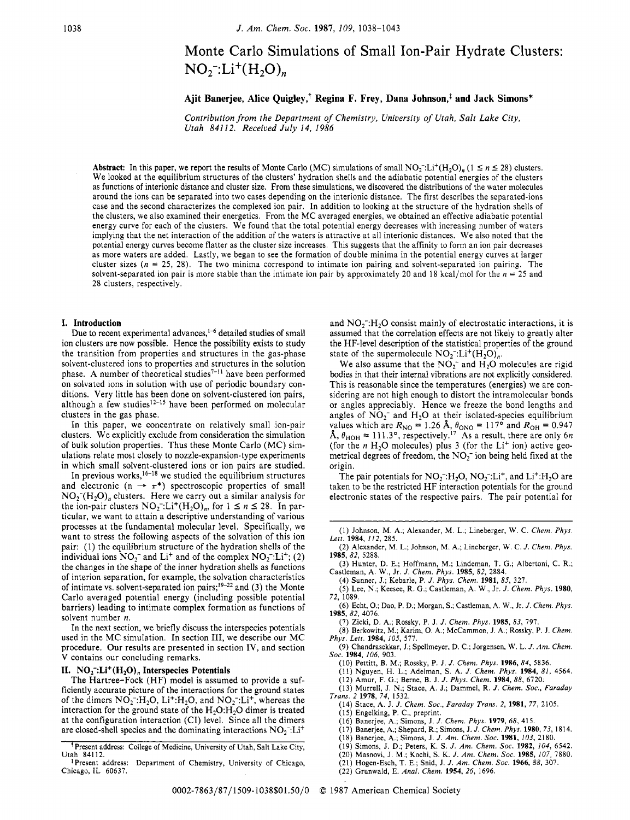# Monte Carlo Simulations of Small Ion-Pair Hydrate Clusters:  $NO_2$ .  $Li^+(H_2O)$ <sub>n</sub>

**Ajit Banerjee, Alice Quigley,+ Regina F. Frey, Dana Johnson,' and Jack Simons\*** 

*Contribution from the Department of Chemistry, University of Utah, Salt Lake City, Utah 841 12. Received July 14, 1986* 

**Abstract:** In this paper, we report the results of Monte Carlo (MC) simulations of small NO<sub>7</sub><sup>-</sup>:Li<sup>+</sup>(H<sub>2</sub>O)<sub>n</sub> (1  $\leq n \leq 28$ ) clusters. We looked at the equilibrium structures of the clusters' hydration shells and the adiabatic potential energies of the clusters as functions of interionic distance and cluster size. From these simulations, we discovered the distributions of the water molecules around the ions can be separated into two cases depending on the interionic distance. The first describes the separated-ions case and the second characterizes the complexed ion pair. In addition to looking at the structure of the hydration shells of the clusters, we also examined their energetics. From the MC averaged energies, we obtained an effective adiabatic potential energy curve for each of the clusters. We found that the total potential energy decreases with increasing number of waters implying that the net interaction of the addition of the waters is attractive at all interionic distances. We also noted that the potential energy curves become flatter as the cluster size increases. This suggests that the affinity to form an ion pair decreases as more waters are added. Lastly, we began to see the formation of double minima in the potential energy curves at larger cluster sizes ( $n = 25$ , 28). The two minima correspond to intimate ion pairing and solvent-separated ion pairing. The solvent-separated ion pair is more stable than the intimate ion pair by approximately 20 and 18 kcal/mol for the  $n = 25$  and 28 clusters, respectively

## **I. Introduction**

Due to recent experimental advances,<sup>1-6</sup> detailed studies of small ion clusters are now possible. Hence the possibility exists to study the transition from properties and structures in the gas-phase solvent-clustered ions to properties and structures in the solution phase. A number of theoretical studies<sup>7-11</sup> have been performed on solvated ions in solution with use of periodic boundary conditions. Very little has been done on solvent-clustered ion pairs, although a few studies<sup>12-15</sup> have been performed on molecular clusters in the gas phase.

In this paper, we concentrate on relatively small ion-pair clusters. We explicitly exclude from consideration the simulation of bulk solution properties. Thus these Monte Carlo (MC) simulations relate most closely to nozzle-expansion-type experiments in which small solvent-clustered ions or ion pairs are studied.

In previous works,<sup>16–18</sup> we studied the equilibrium structures in which small solvent-clustered ions or ion pairs are studied.<br>In previous works,<sup>16-18</sup> we studied the equilibrium structures<br>and electronic (n  $\rightarrow \pi^*$ ) spectroscopic properties of small<br>NO <sup>-</sup>/U control to the small s  $NO<sub>2</sub><sup>-</sup>(H<sub>2</sub>O)<sub>n</sub>$  clusters. Here we carry out a similar analysis for and electronic  $(n \rightarrow \pi^*)$  spectroscopic properties of small<br>NO<sub>2</sub><sup>-</sup>(H<sub>2</sub>O)<sub>n</sub> clusters. Here we carry out a similar analysis for<br>the ion-pair clusters NO<sub>2</sub><sup>-</sup>:Li<sup>+</sup>(H<sub>2</sub>O)<sub>n</sub>, for  $1 \le n \le 28$ . In par-<br>tioulor we want to ticular, we want to attain a descriptive understanding of various processes at the fundamental molecular level. Specifically, we want to stress the following aspects of the solvation of this ion pair: (1) the equilibrium structure of the hydration shells of the individual ions  $NO_2^-$  and Li<sup>+</sup> and of the complex  $NO_2^-$ :Li<sup>+</sup>; (2) the changes in the shape of the inner hydration shells as functions of interion separation, for example, the solvation characteristics of intimate vs. solvent-separated ion pairs;<sup>19-22</sup> and (3) the Monte Carlo averaged potential energy (including possible potential barriers) leading to intimate complex formation as functions of solvent number *n.* 

In the next section, we briefly discuss the interspecies potentials used in the MC simulation. In section 111, we describe our MC procedure. Our results are presented in section IV, and section **V** contains our concluding remarks.

## **11. NOz-:Li+(HzO), Interspecies Potentials**

The Hartree-Fock (HF) model is assumed to provide a sufficiently accurate picture of the interactions for the ground states of the dimers  $NO_2^- H_2O$ ,  $Li^+ H_2O$ , and  $NO_2^- L i^+$ , whereas the interaction for the ground state of the  $H_2O:H_2O$  dimer is treated at the configuration interaction (CI) level. Since all the dimers are closed-shell species and the dominating interactions  $NO<sub>2</sub>$ . Li<sup>+</sup>

and  $NO<sub>2</sub>$ :H<sub>2</sub>O consist mainly of electrostatic interactions, it is assumed that the correlation effects are not likely to greatly alter the HF-level description of the statistical properties of the ground state of the supermolecule  $NO_2^- : Li^+(H_2O)_n$ .

We also assume that the  $NO<sub>2</sub>$  and  $H<sub>2</sub>O$  molecules are rigid bodies in that their internal vibrations are not explicitly considered. This is reasonable since the temperatures (energies) we are considering are not high enough to distort the intramolecular bonds or angles appreciably. Hence we freeze the bond lengths and angles of  $NO<sub>2</sub>^-$  and  $H<sub>2</sub>O$  at their isolated-species equilibrium values which are  $R_{\text{NO}} = 1.26 \text{ Å}, \theta_{\text{ONO}} = 117^{\circ}$  and  $R_{\text{OH}} = 0.947$  $\AA$ ,  $\theta_{\text{HOH}} = 111.3^{\circ}$ , respectively.<sup>17</sup> As a result, there are only 6n (for the  $n$  H<sub>2</sub>O molecules) plus 3 (for the Li<sup>+</sup> ion) active geometrical degrees of freedom, the  $NO<sub>2</sub><sup>-</sup>$  ion being held fixed at the origin.

The pair potentials for  $NO_2^-:H_2O$ ,  $NO_2^-:Li^+$ , and  $Li^+:H_2O$  are taken to be the restricted HF interaction potentials for the ground electronic states of the respective pairs. The pair potential for

- (4) Sunner, J.; Kebarle, P. *J. Phys. Chem.* **1981,** *85,* 327.
- (5) Lee, N.; Keesee, R. G.; Castleman, A. W., Jr. *J. Chem. Phys.* **1980, 72,** 1089.
- (6) Echt, **0.;** Dao, P. D.; Morgan, **S.;** Castleman, A. W., Jr. *J. Chem. Phys.*  **1985,82,** 4076.
	- (7) Zicki. D. A,: Rosskv. P. **J.** *J. Chem. Phvs.* **1985.** *83.* 797.
- (8) Berkowitz, M.; Karh, 0. A,; McCammon, **J.** A.; Rossky, P. **J.** *Chem. Phvs. Lett.* **1984.** *105.* 577.
- 19) Chandrasekkar: J.; Spellmeyer, D. C.; Jorgensen, W. L. *J. Am. Chem.*  Sor. **1984,** 106, 903.
	- (10) Pettitt, B. M.; Rossky, P. **J.** *J. Chem. Phys.* **1986,** *84,* 5836.
	-
	- (11) Nguyen, H. L.; Adelman, *S.* A. *J Chem. Phys.* **1984,** *81,* 4564. (12) Amur, F. G.; Berne, B. **J.** *J. Phys. Chem.* **1984,** *88,* 6720.
- (13) Murrell, **J.** N.; Stace, A. **J.;** Dammel, R. *J. Chem. SOC., Faraday Trans. 2* **1978,** *74,* 1532.
- (14) Stace, **A.** J. *J. Chem. SOC., Faraday Trans.* **2, 1981,** *77,* 2105. (15) Engelking, P. C., preprint.
- (16) Banerjee, A,; Simons, **J.** *J. Chem. Phys.* **1979,** *68,* 415.
- (17) Banerjee, A,; Shepard, R.; Simons, J. *J. Chem. Phys.* **1980,** *73,* 1814.
- (18) Banerjee, **A,;** Simons, **J.** *J. Am. Chem. SOC.* **1981,** *103,* 2180.
- (19) Simons, J. D.; Peters, **K.** *S. J. Am. Chem. SOC.* **1982,** *104,* 6542.
- (20) Masnovi, J. M.; Kochi, *S.* **K.** *J. Am. Chem. SOC.* **1985,** *107,* 7880.
- (21) Hogen-Esch, T. E.; Snid, J. *J. Am. Chem. SOC.* **1966,** *88,* 307.
- (22) Grunwald, E. *Anal. Chem.* **1954,** *26,* 1696.

Present address: College of Medicine, University of Utah, Salt Lake City, Utah 84112.

Present address: Department of Chemistry, University of Chicago, Chicago, IL 60637.

<sup>(1)</sup> Johnson, M. A.; Alexander, M. L.; Lineberger, W. C. Chem. Phys. Lett. 1984, 112, 285.

<sup>(2)</sup> Alexander, M. L.; Johnson, M. A.; Lineberger, W. C. J. Chem. Phys. 1985, 82, 5288.

*<sup>(3)</sup>* Hunter, D. E.; Hoffmann, M.; Lindeman, T. G.; Albertoni, C. R.; Castleman, A. W., **Jr.** *J. Chem. Phys.* **1985, 82,** 2884.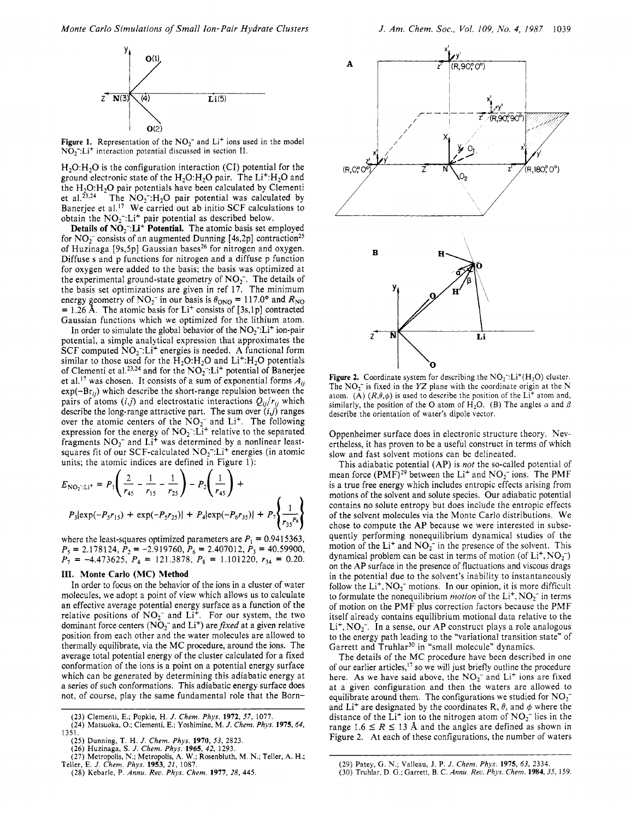

 $NO<sub>2</sub>$ : Li<sup>+</sup> interaction potential discussed in section II.

 $H<sub>2</sub>O:H<sub>2</sub>O$  is the configuration interaction (CI) potential for the ground electronic state of the  $H_2O:H_2O$  pair. The  $Li^+H_2O$  and the  $H_2O:H_2O$  pair potentials have been calculated by Clementi et al.<sup>23,24</sup> The NO<sub>2</sub><sup>-</sup>:H<sub>2</sub>O pair potential was calculated by Banerjee et al.<sup>17</sup> We carried out ab initio SCF calculations to obtain the  $NO_2^-:Li^+$  pair potential as described below.

**Details of**  $NO_2$ **: Li<sup>+</sup> Potential.** The atomic basis set employed for  $NO_2^-$  consists of an augmented Dunning [4s,2p] contraction<sup>25</sup> of Huzinaga [9s,5p] Gaussian bases<sup>26</sup> for nitrogen and oxygen. Diffuse s and p functions for nitrogen and a diffuse p function for oxygen were added to the basis; the basis was optimized at the experimental ground-state geometry of  $NO<sub>2</sub>$ . The details of the basis set optimizations are given in ref 17. The minimum energy geometry of  $NO_2^-$  in our basis is  $\theta_{\rm ONO} = 117.0^{\circ}$  and  $R_{\rm NO}$ = 1.26 Å. The atomic basis for Li<sup>+</sup> consists of [3s,1p] contracted Gaussian functions which we optimized for the lithium atom.

In order to simulate the global behavior of the  $NO<sub>2</sub><sup>-1</sup>Li<sup>+</sup>$  ion-pair potential, a simple analytical expression that approximates the  $SCF$  computed  $NO<sub>2</sub>$ : Li<sup>+</sup> energies is needed. A functional form similar to those used for the  $H_2O:H_2O$  and  $Li^+H_2O$  potentials of Clementi et al.<sup>23,24</sup> and for the  $NO_2^-:L^+$  potential of Banerjee et al.<sup>17</sup> was chosen. It consists of a sum of exponential forms  $A_{ij}$  $exp(-Br_{ii})$  which describe the short-range repulsion between the pairs of atoms  $(i,j)$  and electrostatic interactions  $Q_{ij}/r_{ij}$  which describe the long-range attractive part. The sum over *(ij)* ranges over the atomic centers of the  $NO<sub>2</sub><sup>-</sup>$  and Li<sup>+</sup>. The following expression for the energy of  $NO<sub>2</sub><sup>-</sup>: Li<sup>+</sup>$  relative to the separated fragments  $NO_2^-$  and Li<sup>+</sup> was determined by a nonlinear leastsquares fit of our SCF-calculated  $NO_2^-$ :Li<sup>+</sup> energies (in atomic units; the atomic indices are defined in Figure 1):

$$
E_{\text{NO}_2^-; \text{Li}^+} = P_1 \left( \frac{2}{r_{45}} - \frac{1}{r_{15}} - \frac{1}{r_{25}} \right) - P_2 \left( \frac{1}{r_{45}} \right) +
$$
  
\n
$$
P_3 \{ \exp(-P_5r_{15}) + \exp(-P_5r_{25}) \} + P_4 \{ \exp(-P_6r_{35}) \} + P_7 \left\{ \frac{1}{r_{35}r_{8}} \right\}
$$

where the least-squares optimized parameters are  $P_1 = 0.9415363$ ,  $P_7 = -4.473625, P_4 = 121.3878, P_8 = 1.101220, r_{34} = 0.20.$  $P_5 = 2.178124, \bar{P}_2 = -2.919760, \bar{P}_6 = 2.407012, \bar{P}_3 = 40.59900,$ 

## **111. Monte Carlo (MC) Method**

**In** order to focus on the behavior of the ions in a cluster of water molecules, we adopt a point of view which allows us to calculate an effective average potential energy surface as a function of the relative positions of  $NO_2^-$  and  $Li^+$ . For our system, the two dominant force centers ( $\overline{NO_2}^-$  and  $\overline{Li}^+$ ) are fixed at a given relative position from each other and the water molecules are allowed to thermally equilibrate, via the MC procedure, around the ions. The average total potential energy of the cluster calculated for a fixed conformation of the ions is a point on a potential energy surface which can be generated by determining this adiabatic energy at a series of such conformations. This adiabatic energy surface does not, of course, play the same fundamental role that the Born-



**Figure 2.** Coordinate system for describing the  $NO_2^-$ : Li<sup>+</sup>(H<sub>2</sub>O) cluster. The NO<sub>2</sub><sup>-</sup> is fixed in the *YZ* plane with the coordinate origin at the N atom. **(A)**  $(R, \theta, \phi)$  is used to describe the position of the Li<sup>+</sup> atom and, similarly, the position of the O atom of H<sub>2</sub>O. (B) The angles  $\alpha$  and  $\beta$ describe the orientation of water's dipole vector.

Oppenheimer surface does in electronic structure theory. Nevertheless, it has proven to be a useful construct in terms of which slow and fast solvent motions can be delineated.

This adiabatic potential (AP) is *not* the so-called potential of mean force (PMF)<sup>29</sup> between the Li<sup>+</sup> and NO<sub>2</sub><sup>-</sup> ions. The PMF is a true free energy which includes entropic effects arising from motions of the solvent and solute species. Our adiabatic potential contains no solute entropy but does include the entropic effects of the solvent molecules via the Monte Carlo distributions. We chose to compute the AP because we were interested in subsequently performing nonequilibrium dynamical studies of the motion of the  $Li<sup>+</sup>$  and  $NO<sub>2</sub><sup>-</sup>$  in the presence of the solvent. This dynamical problem can be cast in terms of motion (of  $Li<sup>+</sup>, NO<sub>2</sub>$ ) on the AP surface in the presence of fluctuations and viscous drags in the potential due to the solvent's inability to instantaneously follow the  $Li^+$ ,  $NO_2^-$  motions. In our opinion, it is more difficult to formulate the nonequilibrium *motion* of the Li<sup>+</sup>, NO<sub>2</sub><sup>-</sup> in terms of motion on the PMF plus correction factors because the PMF itself already contains equilibrium motional data relative to the  $Li<sup>+</sup>, NO<sub>2</sub><sup>-</sup>.$  In a sense, our AP construct plays a role analogous to the energy path leading to the "variational transition state" of Garrett and Truhlar<sup>30</sup> in "small molecule" dynamics.

The details of the MC procedure have been described in one of our earlier articles, $17$  so we will just briefly outline the procedure here. As we have said above, the NO<sub>2</sub><sup>-</sup> and Li<sup>+</sup> ions are fixed at a given configuration and then the waters are allowed to equilibrate around them. The configurations we studied for  $NO<sub>2</sub>$ and Li<sup>+</sup> are designated by the coordinates R,  $\theta$ , and  $\phi$  where the distance of the Li<sup>+</sup> ion to the nitrogen atom of  $NO_2^-$  lies in the range 1.6  $\leq$  *R*  $\leq$  13 Å and the angles are defined as shown in Figure 2. At each of these configurations, the number of waters

**<sup>(23)</sup>** Clementi, **E.;** Popkie, H. *J. Chem. Phys.* **1972, 57, 1077. (24)** Matsuoka, **0.;** Clementi, E.; Yoshimine, M. *J. Chem. Phys.* **1975,64, 1351.** 

**<sup>(25)</sup>** Dunning, **T. H.** *J. Chem. Phys.* **1970, 53, 2823.** 

<sup>(26)</sup> Huzinaga, S. J. Chem. Phys. 1965, 42, 1293.<br>(27) Metropolis, N.; Metropolis, A. W.; Rosenbluth, M. N.; Teller, A. H.; Teller, E. J. Chem. Phys. 1953, 21, 1087.

**<sup>(28)</sup>** Kebarle, **P.** *Annu. Rev. Phys. Chem.* **1977,** *28,* **445.** 

**<sup>(29)</sup>** Patey, **G.** N.; Valleau, J. P. *J. Chem. Phys.* **1975,** *63,* **2334.** 

**<sup>(30)</sup>** Truhlar, D. G.; Garrett, B. C. *Annu. Rev. Phys. Chem.* **1984, 35, 159.**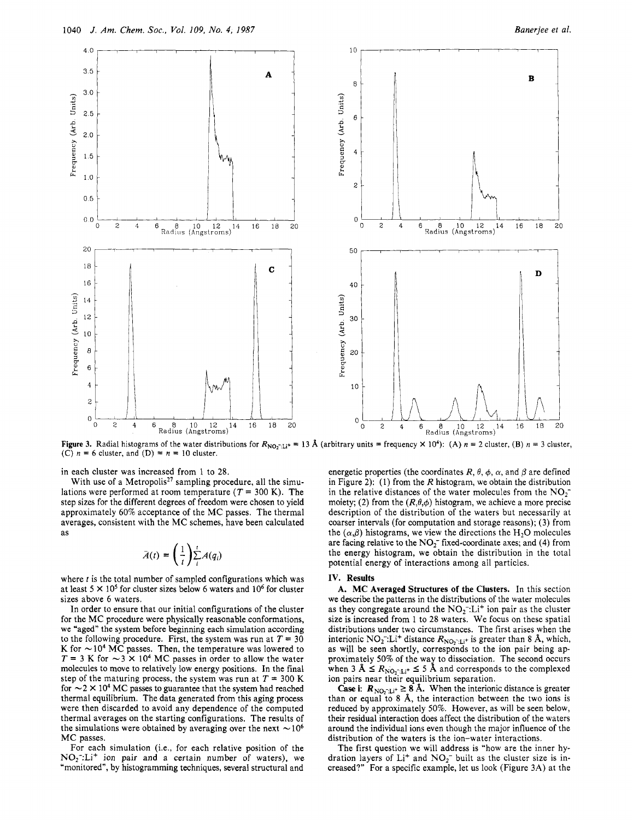

**Figure 3.** Radial histograms of the water distributions for  $R_{NO_2^-:\text{Li}^+} = 13 \text{ Å}$  (arbitrary units = frequency  $\times 10^4$ ): (A)  $n = 2$  cluster, (B)  $n = 3$  cluster, (C)  $n = 6$  cluster, and (D) =  $n = 10$  cluster.

in each cluster was increased from 1 to **28.** 

With use of a Metropolis<sup>27</sup> sampling procedure, all the simulations were performed at room temperature  $(T = 300 \text{ K})$ . The step sizes for the different degrees of freedom were chosen to yield approximately 60% acceptance of the **MC** passes. The thermal averages, consistent with the **MC** schemes, have been calculated as

$$
\bar{A}(t) = \left(\frac{1}{t}\right) \sum_{i}^{t} A(q_i)
$$

where *t* is the total number of sampled configurations which was at least 5 **X lo5** for cluster sizes below *6* waters and lo6 for cluster sizes above 6 waters.

In order to ensure that our initial configurations of the cluster for the **MC** procedure were physically reasonable conformations, we "aged" the system before beginning each simulation according to the following procedure. First, the system was run at  $T = 30$ K for  $\sim$  10<sup>4</sup> MC passes. Then, the temperature was lowered to  $T = 3$  K for  $\sim$  3 × 10<sup>4</sup> MC passes in order to allow the water molecules to move to relatively low energy positions. In the final step of the maturing process, the system was run at  $T = 300$  K for  $\sim$  2  $\times$  10<sup>4</sup> MC passes to guarantee that the system had reached thermal equilibrium. The data generated from this aging process were then discarded to avoid any dependence of the computed thermal averages on the starting configurations. The results of the simulations were obtained by averaging over the next  $\sim$  10<sup>6</sup> **MC** passes.

For each simulation (i.e., for each relative position of the  $NO<sub>2</sub>:Li<sup>+</sup>$  ion pair and a certain number of waters), we "monitored", by histogramming techniques, several structural and

energetic properties (the coordinates  $R, \theta, \phi, \alpha$ , and  $\beta$  are defined in Figure **2):** (1) from the **R** histogram, we obtain the distribution in the relative distances of the water molecules from the  $NO<sub>1</sub>$ moiety; (2) from the  $(R, \theta, \phi)$  histogram, we achieve a more precise description of the distribution of the waters but necessarily at coarser intervals (for computation and storage reasons); (3) from the  $(\alpha, \beta)$  histograms, we view the directions the H<sub>2</sub>O molecules are facing relative to the  $NO<sub>2</sub><sup>-</sup>$  fixed-coordinate axes; and (4) from the energy histogram, we obtain the distribution in the total potential energy of interactions among all particles.

### **IV.** Results

A. **MC** Averaged Structures **of** the Clusters. In this section we describe the patterns in the distributions of the water molecules as they congregate around the  $NO<sub>2</sub>$ <sup>-</sup>:Li<sup>+</sup> ion pair as the cluster size is increased from 1 to **28** waters. We focus on these spatial distributions under two circumstances. The first arises when the interionic  $NO_2^-:L^+$  distance  $R_{NO_2^-:L^+}$  is greater than 8 Å, which, as will be seen shortly, corresponds to the ion pair being approximately 50% of the way to dissociation. The second occurs when 3 **A**  $\leq$  **RNO2**;  $\log_{10}$  **RNO2**  $\log_{10}$  **CO2 CO2 CO2 CO2 CO2 CO2 CO2 CO2 CO2 CO2 CO2 CO2 CO2 CO2 CO2 CO2 CO2 CO2 CO2 CO2 CO2 CO2 CO2 CO2 CO2 CO2 CO2 CO2 CO** ion pairs near their equilibrium separation.

**Case i:**  $R_{\text{NO}_2 \cdot \text{Li}^+} \geq 8$  Å. When the interionic distance is greater than or equal to 8 **A,** the interaction between the two ions is reduced by approximately 50%. However, as will be seen below, their residual interaction does affect the distribution of the waters around the individual ions even though the major influence of the distribution of the waters is the ion-water interactions.

The first question we will address is "how are the inner hydration layers of Li<sup>+</sup> and NO<sub>2</sub><sup>-</sup> built as the cluster size is increased?" For a specific example, let us look (Figure **3A)** at the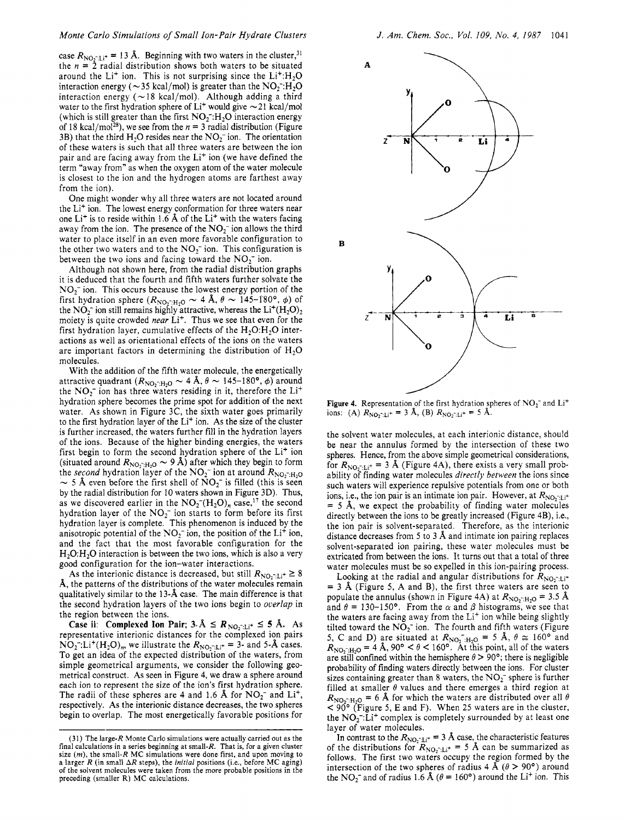case  $R_{\text{NO}_2^-; \text{Li}^+}$  = 13 Å. Beginning with two waters in the cluster,<sup>31</sup> the  $n = 2$  radial distribution shows both waters to be situated around the Li<sup>+</sup> ion. This is not surprising since the Li<sup>+</sup>:H<sub>2</sub>O interaction energy ( $\sim$ 35 kcal/mol) is greater than the NO<sub>2</sub><sup>-</sup>:H<sub>2</sub>O interaction energy ( $\sim$  18 kcal/mol). Although adding a third water to the first hydration sphere of  $Li^{+}$  would give  $\sim$  21 kcal/mol (which is still greater than the first  $NO<sub>2</sub>$ :H<sub>2</sub>O interaction energy of 18 kcal/mol<sup>28</sup>), we see from the  $n = 3$  radial distribution (Figure 3B) that the third  $H_2O$  resides near the  $NO_2^-$  ion. The orientation of these waters is such that all three waters are between the ion pair and are facing away from the Li<sup>+</sup> ion (we have defined the term "away from" as when the oxygen atom of the water molecule is closest to the ion and the hydrogen atoms are farthest away from the ion).

One might wonder why all three waters are not located around the Li+ ion. The lowest energy conformation for three waters near one Li<sup>+</sup> is to reside within 1.6 Å of the Li<sup>+</sup> with the waters facing away from the ion. The presence of the  $NO_2^-$  ion allows the third water to place itself in an even more favorable configuration to the other two waters and to the  $NO<sub>2</sub>$  ion. This configuration is between the two ions and facing toward the  $NO<sub>2</sub><sup>-</sup>$  ion.

Although not shown here, from the radial distribution graphs it is deduced that the fourth and fifth waters further solvate the  $NO<sub>2</sub>$  ion. This occurs because the lowest energy portion of the NO<sub>2</sub><sup>-</sup>ion. This occurs because the lowest energy portion of the first hydration sphere  $(R_{\text{NO}_2\text{-}H_2O} \sim 4 \text{ Å}, \theta \sim 145-\text{F}80^\circ, \phi)$  of the NO<sub>2</sub><sup>-</sup>ion still remains highly attractive, whereas the Li<sup>+</sup>(H<sub>2</sub>O<sub>2</sub>) moiety is quite crowded *near* Li<sup>+</sup>. Thus we see that even for the first hydration layer, cumulative effects of the  $H_2O:H_2O$  interactions as well as orientational effects of the ions on the waters are important factors in determining the distribution of  $H_2O$ molecules.

With the addition of the fifth water molecule, the energetically attractive quadrant  $(R_{\text{NO}_2 \cdot H_2O} \sim 4 \text{ Å}, \theta \sim 145-180^{\circ}, \phi)$  around the NO<sub>2</sub><sup>-</sup> ion has three waters residing in it, therefore the Li<sup>+</sup> hydration sphere becomes the prime spot for addition of the next water. As shown in Figure 3C, the sixth water goes primarily to the first hydration layer of the Li' ion. As the size of the cluster is further increased, the waters further fill in the hydration layers of the ions. Because of the higher binding energies, the waters first begin to form the second hydration sphere of the Li<sup>+</sup> ion first begin to form the second hydration sphere of the Li<sup>+</sup> ion (situated around  $R_{NO_2:H_2O} \sim 9 \text{ Å}$ ) after which they begin to form the *second* hydration layer of the NO<sub>2</sub><sup>-</sup> ion at around  $R_{NO_2-H_2O} \sim 5 \text{ Å}$  even by the radial distribution for 10 waters shown in Figure 3D). Thus, as we discovered earlier in the  $NO<sub>2</sub><sup>-</sup>(H<sub>2</sub>O)<sub>n</sub>$  case,<sup>17</sup> the second hydration layer of the  $NO<sub>2</sub><sup>-</sup>$  ion starts to form before its first hydration layer is complete. This phenomenon is induced by the anisotropic potential of the  $NO<sub>2</sub><sup>-</sup>$  ion, the position of the Li<sup>+</sup> ion, and the fact that the most favorable configuration for the  $H<sub>2</sub>O:H<sub>2</sub>O$  interaction is between the two ions, which is also a very good configuration for the ion-water interactions.

As the interionic distance is decreased, but still  $R_{\text{NO}_2^-:\text{Li}^+} \geq 8$ **A,** the patterns of the distributions of the water molecules remain qualitatively similar to the 13-A case. The main difference is that the second hydration layers of the two ions begin to *overlap* in the region between the ions.

**Case ii:** Complexed Ion Pair;  $3.\text{Å} \leq R_{\text{NO}_2^-:\text{LI}^+} \leq 5 \text{ Å}.$  As representative interionic distances for the complexed ion pairs  $NO_2$ :Li<sup>+</sup>(H<sub>2</sub>O)<sub>n</sub>, we illustrate the  $R_{NO_2 \rightrightarrows Li^+}$  = 3- and 5-Å cases. To get an idea of the expected distribution of the waters, from simple geometrical arguments, we consider the following geometrical construct. **As** seen in Figure 4, we draw a sphere around each ion to represent the size of the ion's first hydration sphere. The radii of these spheres are 4 and 1.6 Å for  $NO_2^-$  and  $Li^+$ , respectively. As the interionic distance decreases, the two spheres begin to overlap. The most energetically favorable positions for



Figure 4. Representation of the first hydration spheres of NO<sub>2</sub><sup>-</sup> and Li<sup>+</sup> ions: **(A)**  $R_{\text{NO}_2^- \text{:} \text{Li}^+} = 3 \text{ Å}$ , **(B)**  $R_{\text{NO}_2^- \text{:} \text{Li}^+} = 5 \text{ Å}$ .

the solvent water molecules, at each interionic distance, should be near the annulus formed by the intersection of these two spheres. Hence, from the above simple geometrical considerations, for  $R_{\text{NO}_2^-:\text{Li}^+}$  = 3 Å (Figure 4A), there exists a very small probability of finding water molecules *directly between* the ions since such waters will experience repulsive potentials from one or both ions, i.e., the ion pair is an intimate ion pair. However, at  $R_{\text{NO},11}$ + = 5 A, we expect the probability of finding water molecules directly between the ions to be greatly increased (Figure 4B), i.e., the ion pair is solvent-separated. Therefore, as the interionic distance decreases from 5 to 3 A and intimate ion pairing replaces solvent-separated ion pairing, these water molecules must be extricated from between the ions. It turns out that a total of three water molecules must be so expelled in this ion-pairing process.

Looking at the radial and angular distributions for  $R_{\text{NO}_2 \cdot \text{Li}^+}$ = 3 **8,** (Figure 5, A and B), the first three waters are seen to populate the annulus (shown in Figure 4A) at  $R_{\text{NO}_2^-;H_2O} = 3.5 \text{ Å}$ and  $\theta = 130 - 150^{\circ}$ . From the  $\alpha$  and  $\beta$  histograms, we see that the waters are facing away from the Li<sup>+</sup> ion while being slightly tilted toward the  $NO<sub>2</sub>$  ion. The fourth and fifth waters (Figure 5, C and D) are situated at  $R_{\text{NO}_2 \rightarrow H_2O} = 5$  Å,  $\theta \approx 160^\circ$  and  $R_{\text{NO}_2 \rightarrow H_2O} = 4 \text{ Å}, 90^{\circ} < \theta < 160^{\circ}$ . At this point, all of the waters are still confined within the hemisphere  $\theta > 90^{\circ}$ ; there is negligible probability of finding waters directly between the ions. For cluster sizes containing greater than  $8$  waters, the  $NO<sub>2</sub>$  sphere is further filled at smaller  $\theta$  values and there emerges a third region at  $R_{\text{NO}_2 \sim H_2O} = 6$  Å for which the waters are distributed over all  $\theta$ < *90'* (Figure 5, E and F). When 25 waters are in the cluster, the  $NO<sub>2</sub><sup>-</sup>: Li<sup>+</sup> complex is completely surrounded by at least one$ layer of water molecules.

In contrast to the  $R_{\text{NO}_2^- \text{Li}^+} = 3 \text{ Å}$  case, the characteristic features of the distributions for  $R_{\text{NO}_2^-:\text{Li}^+} = 5 \text{ Å}$  can be summarized as follows. The first two waters occupy the region formed by the intersection of the two spheres of radius 4 Å ( $\theta > 90^{\circ}$ ) around the NO<sub>2</sub><sup>-</sup> and of radius 1.6 Å ( $\theta$  = 160°) around the Li<sup>+</sup> ion. This

**<sup>(31)</sup>** The large-R Monte Carlo simulations were actually carried out as the final calculations in a series beginning at small-R. That is, for a given cluster **size** *(m),* the small-R MC simulations were done first, and upon moving to a larger R (in small *AR* steps), the *initial* positions (i.e., before MC aging) of the solvent molecules were taken from the more probable positions in the preceding (smaller R) MC calculations.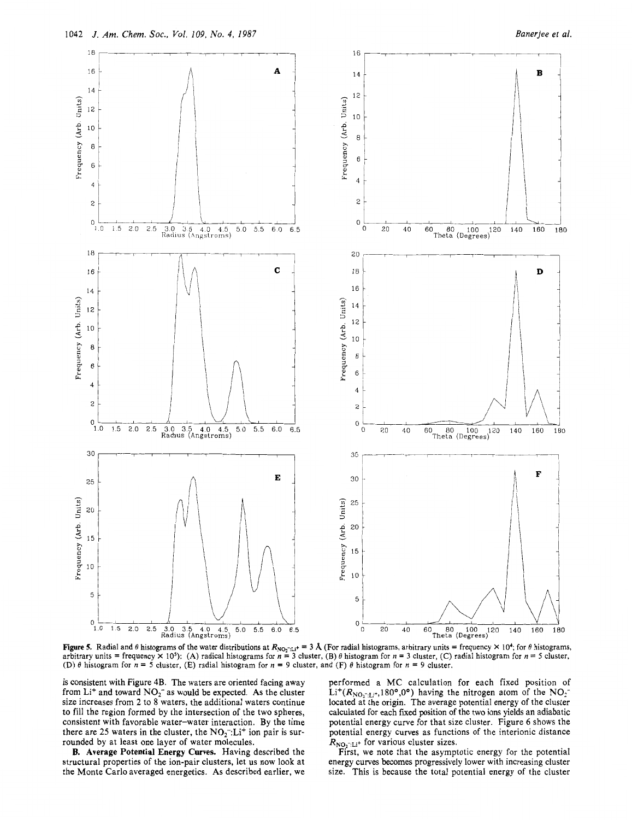

**Figure 5.** Radial and  $\theta$  histograms of the water distributions at  $R_{NO_2 \to L^+} = 3 \text{ Å}$  (For radial histograms, arbitrary units = frequency  $\times 10^4$ ; for  $\theta$  histograms, arbitrary units = frequency  $\times$  10<sup>5</sup>): (A) radical histograms for  $n = 3$  cluster, (B)  $\theta$  histogram for  $n = 3$  cluster, (C) radial histogram for  $n = 5$  cluster, (D)  $\theta$  histogram for  $n = 5$  cluster, (E) radial histogram for  $n = 9$  cluster, and (F)  $\theta$  histogram for  $n = 9$  cluster.

is consistent with Figure 4B. The waters are oriented facing away from  $Li<sup>+</sup>$  and toward  $NO<sub>2</sub><sup>-</sup>$  as would be expected. As the cluster size increases from **2** to 8 waters, the additional waters continue to fill the region formed by the intersection of the two spheres, consistent with favorable water-water interaction. By the time there are 25 waters in the cluster, the  $NO<sub>2</sub><sup>-</sup>: Li<sup>+</sup>$  ion pair is surrounded by at least one layer of water molecules.

**B. Average Potential Energy Curves.** Having described the structural properties of the ion-pair clusters, let us now look at the Monte Carlo averaged energetics. **As** described earlier, we performed a MC calculation for each fixed position of  $Li^{+}(R_{\text{NO}-1,i^{+}},180^{\circ},0^{\circ})$  having the nitrogen atom of the  $NO_{2}^{-}$ located at the origin. The average potential energy of the cluster calculated for each fixed position of the two ions yields an adiabatic potential energy curve for that size cluster. Figure 6 shows the potential energy curves as functions of the interionic distance  $R_{\text{NO}_2^-:\text{Li}^+}$  for various cluster sizes.

First, we note that the asymptotic energy for the potential energy curves becomes progressively lower with increasing cluster size. This **is** because the total potential energy of the cluster